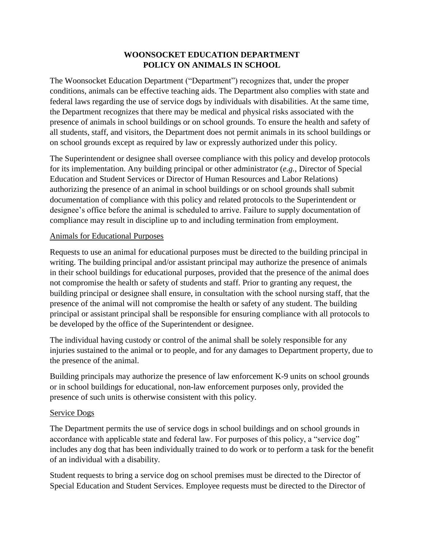## **WOONSOCKET EDUCATION DEPARTMENT POLICY ON ANIMALS IN SCHOOL**

The Woonsocket Education Department ("Department") recognizes that, under the proper conditions, animals can be effective teaching aids. The Department also complies with state and federal laws regarding the use of service dogs by individuals with disabilities. At the same time, the Department recognizes that there may be medical and physical risks associated with the presence of animals in school buildings or on school grounds. To ensure the health and safety of all students, staff, and visitors, the Department does not permit animals in its school buildings or on school grounds except as required by law or expressly authorized under this policy.

The Superintendent or designee shall oversee compliance with this policy and develop protocols for its implementation. Any building principal or other administrator (*e.g.*, Director of Special Education and Student Services or Director of Human Resources and Labor Relations) authorizing the presence of an animal in school buildings or on school grounds shall submit documentation of compliance with this policy and related protocols to the Superintendent or designee's office before the animal is scheduled to arrive. Failure to supply documentation of compliance may result in discipline up to and including termination from employment.

## Animals for Educational Purposes

Requests to use an animal for educational purposes must be directed to the building principal in writing. The building principal and/or assistant principal may authorize the presence of animals in their school buildings for educational purposes, provided that the presence of the animal does not compromise the health or safety of students and staff. Prior to granting any request, the building principal or designee shall ensure, in consultation with the school nursing staff, that the presence of the animal will not compromise the health or safety of any student. The building principal or assistant principal shall be responsible for ensuring compliance with all protocols to be developed by the office of the Superintendent or designee.

The individual having custody or control of the animal shall be solely responsible for any injuries sustained to the animal or to people, and for any damages to Department property, due to the presence of the animal.

Building principals may authorize the presence of law enforcement K-9 units on school grounds or in school buildings for educational, non-law enforcement purposes only, provided the presence of such units is otherwise consistent with this policy.

# Service Dogs

The Department permits the use of service dogs in school buildings and on school grounds in accordance with applicable state and federal law. For purposes of this policy, a "service dog" includes any dog that has been individually trained to do work or to perform a task for the benefit of an individual with a disability.

Student requests to bring a service dog on school premises must be directed to the Director of Special Education and Student Services. Employee requests must be directed to the Director of